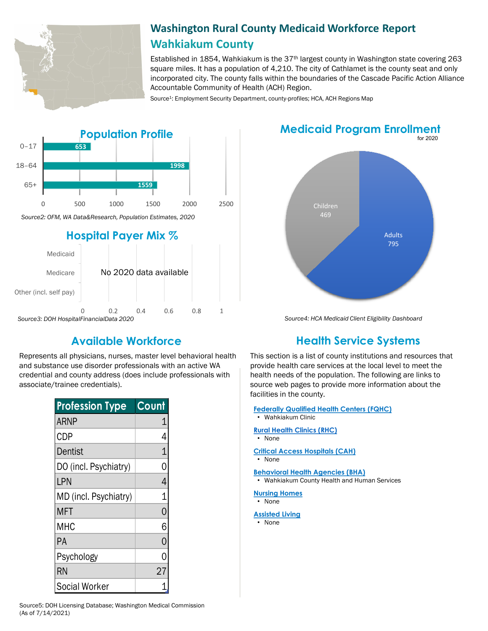

# **Washington Rural County Medicaid Workforce Report Wahkiakum County**

Established in 1854, Wahkiakum is the 37<sup>th</sup> largest county in Washington state covering 263 square miles. It has a population of 4,210. The city of Cathlamet is the county seat and only incorporated city. The county falls within the boundaries of the Cascade Pacific Action Alliance Accountable Community of Health (ACH) Region.

Source<sup>1</sup>: Employment Security Department, county-profiles; HCA, ACH Regions Map



Represents all physicians, nurses, master level behavioral health and substance use disorder professionals with an active WA credential and county address (does include professionals with associate/trainee credentials).

| <b>Profession Type</b> | Count          |
|------------------------|----------------|
| <b>ARNP</b>            | 1              |
| <b>CDP</b>             | 4              |
| Dentist                | $\overline{1}$ |
| DO (incl. Psychiatry)  | 0              |
| LPN                    | 4              |
| MD (incl. Psychiatry)  | $\overline{1}$ |
| <b>MFT</b>             | 0              |
| <b>MHC</b>             | 6              |
| PA                     | 0              |
| Psychology             | 0              |
| <b>RN</b>              | 27             |
| <b>Social Worker</b>   |                |

**Medicaid Program Enrollment**



*Source4: HCA Medicaid Client Eligibility Dashboard*

# **Available Workforce Health Service Systems**

This section is a list of county institutions and resources that provide health care services at the local level to meet the health needs of the population. The following are links to source web pages to provide more information about the facilities in the county.

| <b>Federally Qualified Health Centers (FQHC)</b> |
|--------------------------------------------------|
| • Wahkiakum Clinic                               |
| <b>Rural Health Clinics (RHC)</b>                |
| None<br>$\bullet$                                |
| Critical Access Hospitals (CAH)                  |
| • None                                           |
| Behavioral Health Agencies (BHA)                 |
| • Wahkiakum County Health and Human Services     |
| <b>Nursing Homes</b>                             |
| • None                                           |
| <b>Assisted Living</b>                           |
| • None                                           |
|                                                  |
|                                                  |
|                                                  |